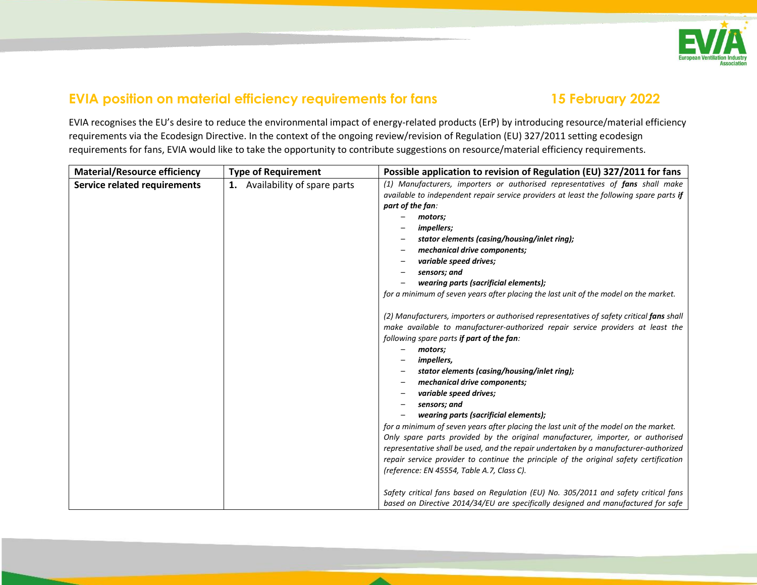

## **EVIA position on material efficiency requirements for fans 15 February 2022**

EVIA recognises the EU's desire to reduce the environmental impact of energy-related products (ErP) by introducing resource/material efficiency requirements via the Ecodesign Directive. In the context of the ongoing review/revision of Regulation (EU) 327/2011 setting ecodesign requirements for fans, EVIA would like to take the opportunity to contribute suggestions on resource/material efficiency requirements.

| <b>Material/Resource efficiency</b> | <b>Type of Requirement</b>     | Possible application to revision of Regulation (EU) 327/2011 for fans                                                                                                                                                               |
|-------------------------------------|--------------------------------|-------------------------------------------------------------------------------------------------------------------------------------------------------------------------------------------------------------------------------------|
| <b>Service related requirements</b> | 1. Availability of spare parts | (1) Manufacturers, importers or authorised representatives of fans shall make                                                                                                                                                       |
|                                     |                                | available to independent repair service providers at least the following spare parts if                                                                                                                                             |
|                                     |                                | part of the fan:                                                                                                                                                                                                                    |
|                                     |                                | motors;                                                                                                                                                                                                                             |
|                                     |                                | impellers;                                                                                                                                                                                                                          |
|                                     |                                | stator elements (casing/housing/inlet ring);                                                                                                                                                                                        |
|                                     |                                | mechanical drive components;                                                                                                                                                                                                        |
|                                     |                                | variable speed drives;                                                                                                                                                                                                              |
|                                     |                                | sensors; and                                                                                                                                                                                                                        |
|                                     |                                | wearing parts (sacrificial elements);                                                                                                                                                                                               |
|                                     |                                | for a minimum of seven years after placing the last unit of the model on the market.                                                                                                                                                |
|                                     |                                | (2) Manufacturers, importers or authorised representatives of safety critical fans shall<br>make available to manufacturer-authorized repair service providers at least the<br>following spare parts if part of the fan:<br>motors; |
|                                     |                                | <i>impellers,</i>                                                                                                                                                                                                                   |
|                                     |                                | stator elements (casing/housing/inlet ring);                                                                                                                                                                                        |
|                                     |                                | mechanical drive components;                                                                                                                                                                                                        |
|                                     |                                | variable speed drives;                                                                                                                                                                                                              |
|                                     |                                | sensors; and                                                                                                                                                                                                                        |
|                                     |                                | wearing parts (sacrificial elements);                                                                                                                                                                                               |
|                                     |                                | for a minimum of seven years after placing the last unit of the model on the market.                                                                                                                                                |
|                                     |                                | Only spare parts provided by the original manufacturer, importer, or authorised                                                                                                                                                     |
|                                     |                                | representative shall be used, and the repair undertaken by a manufacturer-authorized                                                                                                                                                |
|                                     |                                | repair service provider to continue the principle of the original safety certification                                                                                                                                              |
|                                     |                                | (reference: EN 45554, Table A.7, Class C).                                                                                                                                                                                          |
|                                     |                                | Safety critical fans based on Regulation (EU) No. 305/2011 and safety critical fans<br>based on Directive 2014/34/EU are specifically designed and manufactured for safe                                                            |
|                                     |                                |                                                                                                                                                                                                                                     |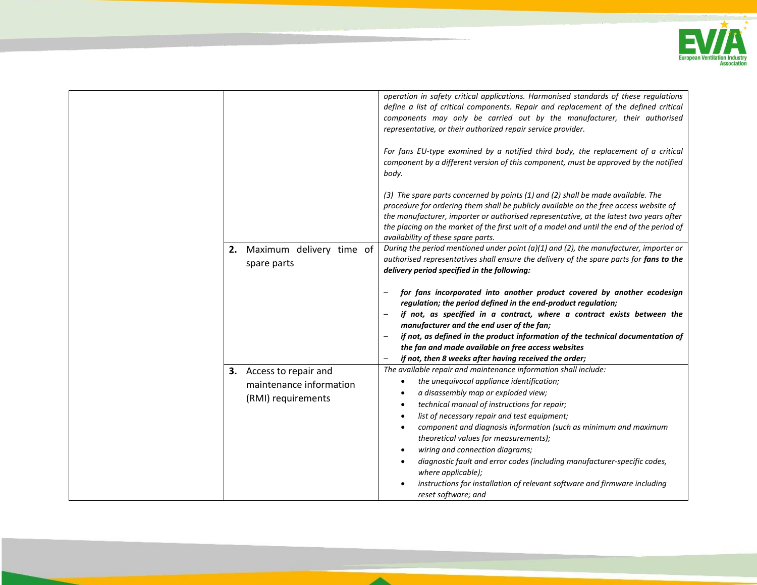

| Maximum delivery time of<br>2.                                           | operation in safety critical applications. Harmonised standards of these regulations<br>define a list of critical components. Repair and replacement of the defined critical<br>components may only be carried out by the manufacturer, their authorised<br>representative, or their authorized repair service provider.<br>For fans EU-type examined by a notified third body, the replacement of a critical<br>component by a different version of this component, must be approved by the notified<br>body.<br>(3) The spare parts concerned by points (1) and (2) shall be made available. The<br>procedure for ordering them shall be publicly available on the free access website of<br>the manufacturer, importer or authorised representative, at the latest two years after<br>the placing on the market of the first unit of a model and until the end of the period of<br>availability of these spare parts.<br>During the period mentioned under point ( $a$ )(1) and (2), the manufacturer, importer or |
|--------------------------------------------------------------------------|-----------------------------------------------------------------------------------------------------------------------------------------------------------------------------------------------------------------------------------------------------------------------------------------------------------------------------------------------------------------------------------------------------------------------------------------------------------------------------------------------------------------------------------------------------------------------------------------------------------------------------------------------------------------------------------------------------------------------------------------------------------------------------------------------------------------------------------------------------------------------------------------------------------------------------------------------------------------------------------------------------------------------|
| spare parts                                                              | authorised representatives shall ensure the delivery of the spare parts for fans to the<br>delivery period specified in the following:<br>for fans incorporated into another product covered by another ecodesign<br>regulation; the period defined in the end-product regulation;<br>if not, as specified in a contract, where a contract exists between the<br>manufacturer and the end user of the fan;<br>if not, as defined in the product information of the technical documentation of<br>the fan and made available on free access websites<br>if not, then 8 weeks after having received the order;                                                                                                                                                                                                                                                                                                                                                                                                          |
| 3. Access to repair and<br>maintenance information<br>(RMI) requirements | The available repair and maintenance information shall include:<br>the unequivocal appliance identification;<br>a disassembly map or exploded view;<br>technical manual of instructions for repair;<br>list of necessary repair and test equipment;<br>component and diagnosis information (such as minimum and maximum<br>theoretical values for measurements);<br>wiring and connection diagrams;<br>diagnostic fault and error codes (including manufacturer-specific codes,<br>where applicable);<br>instructions for installation of relevant software and firmware including<br>reset software; and                                                                                                                                                                                                                                                                                                                                                                                                             |

 $\blacktriangle$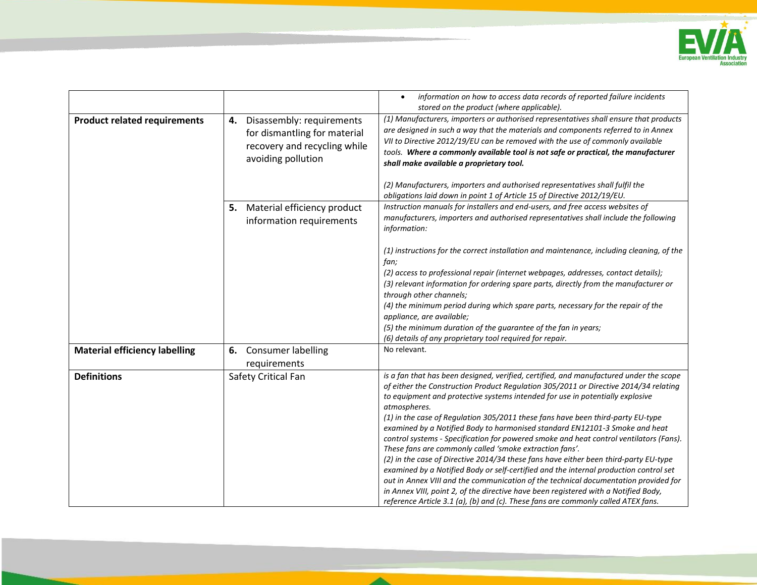

|                                      |                                                                                                                    | information on how to access data records of reported failure incidents<br>$\bullet$<br>stored on the product (where applicable).                                                                                                                                                                                                                                                                                                                                                                    |
|--------------------------------------|--------------------------------------------------------------------------------------------------------------------|------------------------------------------------------------------------------------------------------------------------------------------------------------------------------------------------------------------------------------------------------------------------------------------------------------------------------------------------------------------------------------------------------------------------------------------------------------------------------------------------------|
| <b>Product related requirements</b>  | 4. Disassembly: requirements<br>for dismantling for material<br>recovery and recycling while<br>avoiding pollution | (1) Manufacturers, importers or authorised representatives shall ensure that products<br>are designed in such a way that the materials and components referred to in Annex<br>VII to Directive 2012/19/EU can be removed with the use of commonly available<br>tools. Where a commonly available tool is not safe or practical, the manufacturer<br>shall make available a proprietary tool.<br>(2) Manufacturers, importers and authorised representatives shall fulfil the                         |
|                                      |                                                                                                                    | obligations laid down in point 1 of Article 15 of Directive 2012/19/EU.                                                                                                                                                                                                                                                                                                                                                                                                                              |
|                                      | Material efficiency product<br>5.<br>information requirements                                                      | Instruction manuals for installers and end-users, and free access websites of<br>manufacturers, importers and authorised representatives shall include the following<br>information:                                                                                                                                                                                                                                                                                                                 |
|                                      |                                                                                                                    | (1) instructions for the correct installation and maintenance, including cleaning, of the<br>fan;                                                                                                                                                                                                                                                                                                                                                                                                    |
|                                      |                                                                                                                    | (2) access to professional repair (internet webpages, addresses, contact details);<br>(3) relevant information for ordering spare parts, directly from the manufacturer or<br>through other channels;                                                                                                                                                                                                                                                                                                |
|                                      |                                                                                                                    | (4) the minimum period during which spare parts, necessary for the repair of the<br>appliance, are available;                                                                                                                                                                                                                                                                                                                                                                                        |
|                                      |                                                                                                                    | (5) the minimum duration of the guarantee of the fan in years;<br>(6) details of any proprietary tool required for repair.                                                                                                                                                                                                                                                                                                                                                                           |
| <b>Material efficiency labelling</b> | <b>Consumer labelling</b><br>6.<br>requirements                                                                    | No relevant.                                                                                                                                                                                                                                                                                                                                                                                                                                                                                         |
| <b>Definitions</b>                   | Safety Critical Fan                                                                                                | is a fan that has been designed, verified, certified, and manufactured under the scope<br>of either the Construction Product Regulation 305/2011 or Directive 2014/34 relating<br>to equipment and protective systems intended for use in potentially explosive<br>atmospheres.                                                                                                                                                                                                                      |
|                                      |                                                                                                                    | (1) in the case of Regulation 305/2011 these fans have been third-party EU-type<br>examined by a Notified Body to harmonised standard EN12101-3 Smoke and heat<br>control systems - Specification for powered smoke and heat control ventilators (Fans).<br>These fans are commonly called 'smoke extraction fans'.<br>(2) in the case of Directive 2014/34 these fans have either been third-party EU-type<br>examined by a Notified Body or self-certified and the internal production control set |
|                                      |                                                                                                                    | out in Annex VIII and the communication of the technical documentation provided for<br>in Annex VIII, point 2, of the directive have been registered with a Notified Body,<br>reference Article 3.1 (a), (b) and (c). These fans are commonly called ATEX fans.                                                                                                                                                                                                                                      |

▴